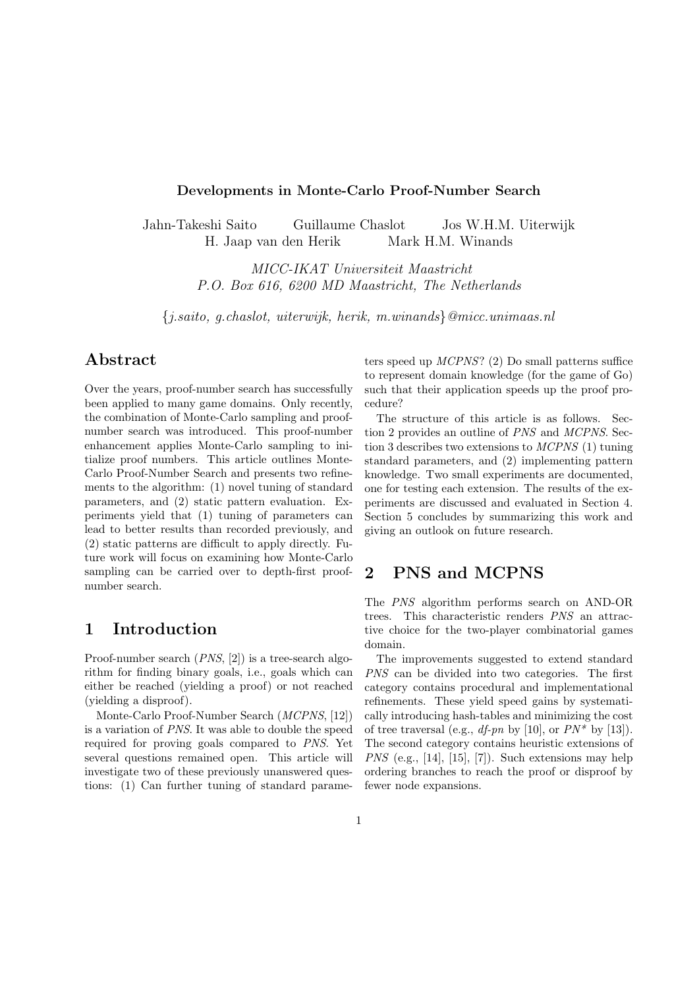#### Developments in Monte-Carlo Proof-Number Search

Jahn-Takeshi Saito Guillaume Chaslot Jos W.H.M. Uiterwijk H. Jaap van den Herik Mark H.M. Winands

> MICC-IKAT Universiteit Maastricht P.O. Box 616, 6200 MD Maastricht, The Netherlands

{j.saito, g.chaslot, uiterwijk, herik, m.winands}@micc.unimaas.nl

# Abstract

Over the years, proof-number search has successfully been applied to many game domains. Only recently, the combination of Monte-Carlo sampling and proofnumber search was introduced. This proof-number enhancement applies Monte-Carlo sampling to initialize proof numbers. This article outlines Monte-Carlo Proof-Number Search and presents two refinements to the algorithm: (1) novel tuning of standard parameters, and (2) static pattern evaluation. Experiments yield that (1) tuning of parameters can lead to better results than recorded previously, and (2) static patterns are difficult to apply directly. Future work will focus on examining how Monte-Carlo sampling can be carried over to depth-first proofnumber search.

## 1 Introduction

Proof-number search (PNS, [2]) is a tree-search algorithm for finding binary goals, i.e., goals which can either be reached (yielding a proof) or not reached (yielding a disproof).

Monte-Carlo Proof-Number Search (MCPNS, [12]) is a variation of PNS. It was able to double the speed required for proving goals compared to PNS. Yet several questions remained open. This article will investigate two of these previously unanswered questions: (1) Can further tuning of standard parameters speed up MCPNS? (2) Do small patterns suffice to represent domain knowledge (for the game of Go) such that their application speeds up the proof procedure?

The structure of this article is as follows. Section 2 provides an outline of PNS and MCPNS. Section 3 describes two extensions to MCPNS (1) tuning standard parameters, and (2) implementing pattern knowledge. Two small experiments are documented, one for testing each extension. The results of the experiments are discussed and evaluated in Section 4. Section 5 concludes by summarizing this work and giving an outlook on future research.

# 2 PNS and MCPNS

The PNS algorithm performs search on AND-OR trees. This characteristic renders PNS an attractive choice for the two-player combinatorial games domain.

The improvements suggested to extend standard PNS can be divided into two categories. The first category contains procedural and implementational refinements. These yield speed gains by systematically introducing hash-tables and minimizing the cost of tree traversal (e.g., *df-pn* by [10], or  $PN^*$  by [13]). The second category contains heuristic extensions of *PNS* (e.g., [14], [15], [7]). Such extensions may help ordering branches to reach the proof or disproof by fewer node expansions.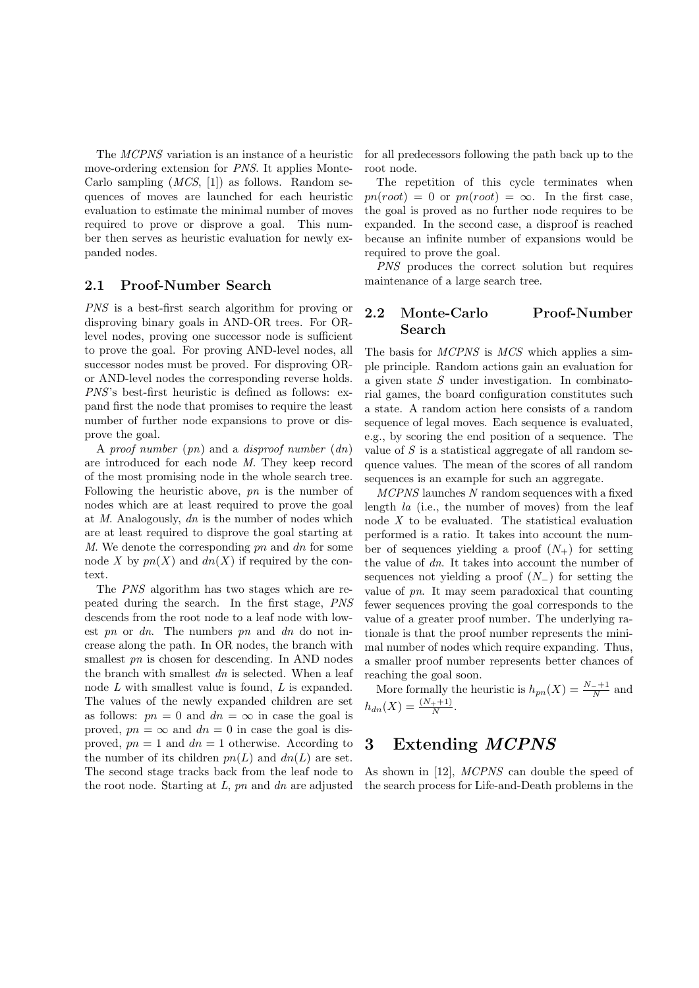The MCPNS variation is an instance of a heuristic move-ordering extension for PNS. It applies Monte-Carlo sampling  $(MCS, 1)$  as follows. Random sequences of moves are launched for each heuristic evaluation to estimate the minimal number of moves required to prove or disprove a goal. This number then serves as heuristic evaluation for newly expanded nodes.

#### 2.1 Proof-Number Search

PNS is a best-first search algorithm for proving or disproving binary goals in AND-OR trees. For ORlevel nodes, proving one successor node is sufficient to prove the goal. For proving AND-level nodes, all successor nodes must be proved. For disproving ORor AND-level nodes the corresponding reverse holds. PNS's best-first heuristic is defined as follows: expand first the node that promises to require the least number of further node expansions to prove or disprove the goal.

A proof number  $(pn)$  and a disproof number  $(dn)$ are introduced for each node M. They keep record of the most promising node in the whole search tree. Following the heuristic above, pn is the number of nodes which are at least required to prove the goal at  $M$ . Analogously,  $dn$  is the number of nodes which are at least required to disprove the goal starting at M. We denote the corresponding  $p_n$  and  $dn$  for some node X by  $pn(X)$  and  $dn(X)$  if required by the context.

The PNS algorithm has two stages which are repeated during the search. In the first stage, PNS descends from the root node to a leaf node with lowest pn or  $dn$ . The numbers pn and  $dn$  do not increase along the path. In OR nodes, the branch with smallest *pn* is chosen for descending. In AND nodes the branch with smallest  $dn$  is selected. When a leaf node L with smallest value is found, L is expanded. The values of the newly expanded children are set as follows:  $pn = 0$  and  $dn = \infty$  in case the goal is proved,  $pn = \infty$  and  $dn = 0$  in case the goal is disproved,  $pn = 1$  and  $dn = 1$  otherwise. According to the number of its children  $pn(L)$  and  $dn(L)$  are set. The second stage tracks back from the leaf node to the root node. Starting at  $L$ ,  $pn$  and  $dn$  are adjusted for all predecessors following the path back up to the root node.

The repetition of this cycle terminates when  $pn(root) = 0$  or  $pn(root) = \infty$ . In the first case, the goal is proved as no further node requires to be expanded. In the second case, a disproof is reached because an infinite number of expansions would be required to prove the goal.

PNS produces the correct solution but requires maintenance of a large search tree.

### 2.2 Monte-Carlo Proof-Number Search

The basis for *MCPNS* is *MCS* which applies a simple principle. Random actions gain an evaluation for a given state S under investigation. In combinatorial games, the board configuration constitutes such a state. A random action here consists of a random sequence of legal moves. Each sequence is evaluated, e.g., by scoring the end position of a sequence. The value of  $S$  is a statistical aggregate of all random sequence values. The mean of the scores of all random sequences is an example for such an aggregate.

MCPNS launches N random sequences with a fixed length la (i.e., the number of moves) from the leaf node X to be evaluated. The statistical evaluation performed is a ratio. It takes into account the number of sequences yielding a proof  $(N_{+})$  for setting the value of dn. It takes into account the number of sequences not yielding a proof  $(N_+)$  for setting the value of pn. It may seem paradoxical that counting fewer sequences proving the goal corresponds to the value of a greater proof number. The underlying rationale is that the proof number represents the minimal number of nodes which require expanding. Thus, a smaller proof number represents better chances of reaching the goal soon.

More formally the heuristic is  $h_{pn}(X) = \frac{N_{-}+1}{N}$  and  $h_{dn}(X) = \frac{(N_+ + 1)}{N}$ .

# 3 Extending MCPNS

As shown in [12], MCPNS can double the speed of the search process for Life-and-Death problems in the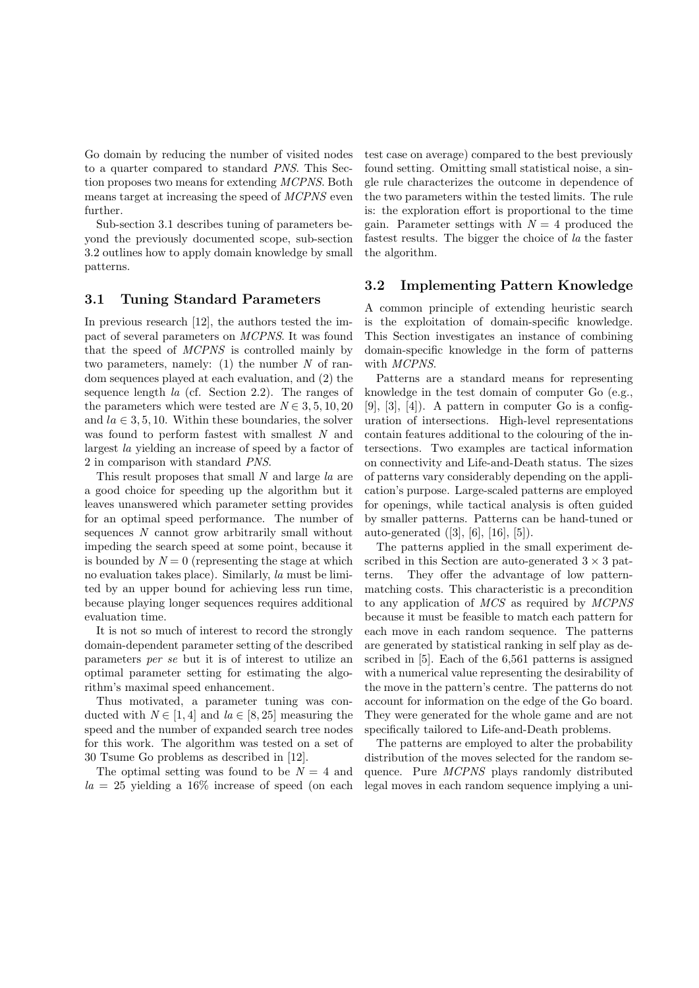Go domain by reducing the number of visited nodes to a quarter compared to standard PNS. This Section proposes two means for extending MCPNS. Both means target at increasing the speed of MCPNS even further.

Sub-section 3.1 describes tuning of parameters beyond the previously documented scope, sub-section 3.2 outlines how to apply domain knowledge by small patterns.

#### 3.1 Tuning Standard Parameters

In previous research [12], the authors tested the impact of several parameters on MCPNS. It was found that the speed of MCPNS is controlled mainly by two parameters, namely:  $(1)$  the number N of random sequences played at each evaluation, and (2) the sequence length la (cf. Section 2.2). The ranges of the parameters which were tested are  $N \in 3, 5, 10, 20$ and  $la \in \{3, 5, 10\}$ . Within these boundaries, the solver was found to perform fastest with smallest N and largest la yielding an increase of speed by a factor of 2 in comparison with standard PNS.

This result proposes that small N and large la are a good choice for speeding up the algorithm but it leaves unanswered which parameter setting provides for an optimal speed performance. The number of sequences N cannot grow arbitrarily small without impeding the search speed at some point, because it is bounded by  $N = 0$  (representing the stage at which no evaluation takes place). Similarly, la must be limited by an upper bound for achieving less run time, because playing longer sequences requires additional evaluation time.

It is not so much of interest to record the strongly domain-dependent parameter setting of the described parameters per se but it is of interest to utilize an optimal parameter setting for estimating the algorithm's maximal speed enhancement.

Thus motivated, a parameter tuning was conducted with  $N \in [1, 4]$  and  $la \in [8, 25]$  measuring the speed and the number of expanded search tree nodes for this work. The algorithm was tested on a set of 30 Tsume Go problems as described in [12].

The optimal setting was found to be  $N = 4$  and  $la = 25$  yielding a 16% increase of speed (on each test case on average) compared to the best previously found setting. Omitting small statistical noise, a single rule characterizes the outcome in dependence of the two parameters within the tested limits. The rule is: the exploration effort is proportional to the time gain. Parameter settings with  $N = 4$  produced the fastest results. The bigger the choice of la the faster the algorithm.

#### 3.2 Implementing Pattern Knowledge

A common principle of extending heuristic search is the exploitation of domain-specific knowledge. This Section investigates an instance of combining domain-specific knowledge in the form of patterns with MCPNS.

Patterns are a standard means for representing knowledge in the test domain of computer Go (e.g.,  $[9]$ ,  $[3]$ ,  $[4]$ ). A pattern in computer Go is a configuration of intersections. High-level representations contain features additional to the colouring of the intersections. Two examples are tactical information on connectivity and Life-and-Death status. The sizes of patterns vary considerably depending on the application's purpose. Large-scaled patterns are employed for openings, while tactical analysis is often guided by smaller patterns. Patterns can be hand-tuned or auto-generated ([3], [6], [16], [5]).

The patterns applied in the small experiment described in this Section are auto-generated  $3 \times 3$  patterns. They offer the advantage of low patternmatching costs. This characteristic is a precondition to any application of MCS as required by MCPNS because it must be feasible to match each pattern for each move in each random sequence. The patterns are generated by statistical ranking in self play as described in [5]. Each of the 6,561 patterns is assigned with a numerical value representing the desirability of the move in the pattern's centre. The patterns do not account for information on the edge of the Go board. They were generated for the whole game and are not specifically tailored to Life-and-Death problems.

The patterns are employed to alter the probability distribution of the moves selected for the random sequence. Pure MCPNS plays randomly distributed legal moves in each random sequence implying a uni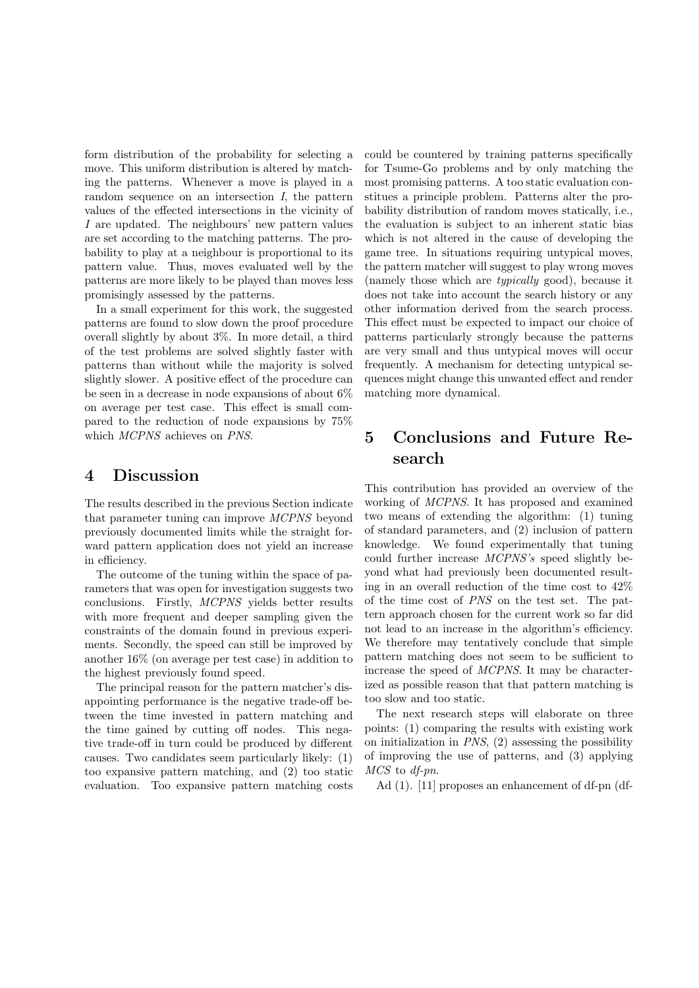form distribution of the probability for selecting a move. This uniform distribution is altered by matching the patterns. Whenever a move is played in a random sequence on an intersection I, the pattern values of the effected intersections in the vicinity of I are updated. The neighbours' new pattern values are set according to the matching patterns. The probability to play at a neighbour is proportional to its pattern value. Thus, moves evaluated well by the patterns are more likely to be played than moves less promisingly assessed by the patterns.

In a small experiment for this work, the suggested patterns are found to slow down the proof procedure overall slightly by about 3%. In more detail, a third of the test problems are solved slightly faster with patterns than without while the majority is solved slightly slower. A positive effect of the procedure can be seen in a decrease in node expansions of about 6% on average per test case. This effect is small compared to the reduction of node expansions by 75% which MCPNS achieves on PNS.

## 4 Discussion

The results described in the previous Section indicate that parameter tuning can improve MCPNS beyond previously documented limits while the straight forward pattern application does not yield an increase in efficiency.

The outcome of the tuning within the space of parameters that was open for investigation suggests two conclusions. Firstly, MCPNS yields better results with more frequent and deeper sampling given the constraints of the domain found in previous experiments. Secondly, the speed can still be improved by another 16% (on average per test case) in addition to the highest previously found speed.

The principal reason for the pattern matcher's disappointing performance is the negative trade-off between the time invested in pattern matching and the time gained by cutting off nodes. This negative trade-off in turn could be produced by different causes. Two candidates seem particularly likely: (1) too expansive pattern matching, and (2) too static evaluation. Too expansive pattern matching costs could be countered by training patterns specifically for Tsume-Go problems and by only matching the most promising patterns. A too static evaluation constitues a principle problem. Patterns alter the probability distribution of random moves statically, i.e., the evaluation is subject to an inherent static bias which is not altered in the cause of developing the game tree. In situations requiring untypical moves, the pattern matcher will suggest to play wrong moves (namely those which are typically good), because it does not take into account the search history or any other information derived from the search process. This effect must be expected to impact our choice of patterns particularly strongly because the patterns are very small and thus untypical moves will occur frequently. A mechanism for detecting untypical sequences might change this unwanted effect and render matching more dynamical.

# 5 Conclusions and Future Research

This contribution has provided an overview of the working of MCPNS. It has proposed and examined two means of extending the algorithm: (1) tuning of standard parameters, and (2) inclusion of pattern knowledge. We found experimentally that tuning could further increase MCPNS's speed slightly beyond what had previously been documented resulting in an overall reduction of the time cost to 42% of the time cost of PNS on the test set. The pattern approach chosen for the current work so far did not lead to an increase in the algorithm's efficiency. We therefore may tentatively conclude that simple pattern matching does not seem to be sufficient to increase the speed of MCPNS. It may be characterized as possible reason that that pattern matching is too slow and too static.

The next research steps will elaborate on three points: (1) comparing the results with existing work on initialization in  $PNS$ ,  $(2)$  assessing the possibility of improving the use of patterns, and (3) applying MCS to df-pn.

Ad (1). [11] proposes an enhancement of df-pn (df-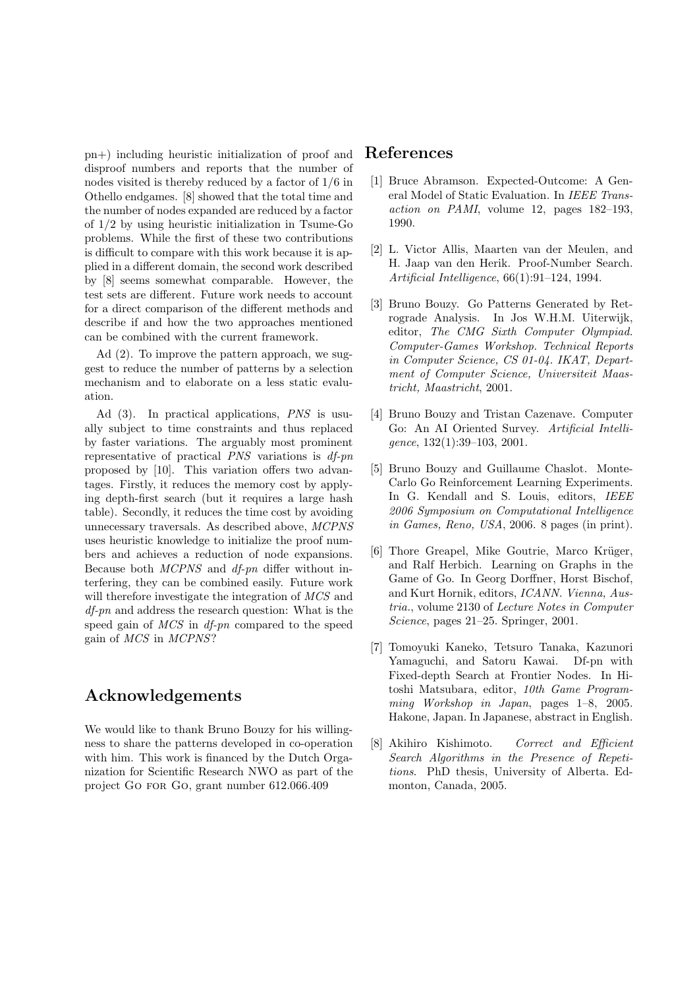pn+) including heuristic initialization of proof and disproof numbers and reports that the number of nodes visited is thereby reduced by a factor of 1/6 in Othello endgames. [8] showed that the total time and the number of nodes expanded are reduced by a factor of 1/2 by using heuristic initialization in Tsume-Go problems. While the first of these two contributions is difficult to compare with this work because it is applied in a different domain, the second work described by [8] seems somewhat comparable. However, the test sets are different. Future work needs to account for a direct comparison of the different methods and describe if and how the two approaches mentioned can be combined with the current framework.

Ad (2). To improve the pattern approach, we suggest to reduce the number of patterns by a selection mechanism and to elaborate on a less static evaluation.

Ad (3). In practical applications, PNS is usually subject to time constraints and thus replaced by faster variations. The arguably most prominent representative of practical  $PNS$  variations is  $df$ -pn proposed by [10]. This variation offers two advantages. Firstly, it reduces the memory cost by applying depth-first search (but it requires a large hash table). Secondly, it reduces the time cost by avoiding unnecessary traversals. As described above, MCPNS uses heuristic knowledge to initialize the proof numbers and achieves a reduction of node expansions. Because both MCPNS and df-pn differ without interfering, they can be combined easily. Future work will therefore investigate the integration of  $MCS$  and df-pn and address the research question: What is the speed gain of MCS in df-pn compared to the speed gain of MCS in MCPNS?

# Acknowledgements

We would like to thank Bruno Bouzy for his willingness to share the patterns developed in co-operation with him. This work is financed by the Dutch Organization for Scientific Research NWO as part of the project Go for Go, grant number 612.066.409

# References

- [1] Bruce Abramson. Expected-Outcome: A General Model of Static Evaluation. In IEEE Transaction on PAMI, volume 12, pages 182–193, 1990.
- [2] L. Victor Allis, Maarten van der Meulen, and H. Jaap van den Herik. Proof-Number Search. Artificial Intelligence, 66(1):91–124, 1994.
- [3] Bruno Bouzy. Go Patterns Generated by Retrograde Analysis. In Jos W.H.M. Uiterwijk, editor, The CMG Sixth Computer Olympiad. Computer-Games Workshop. Technical Reports in Computer Science, CS 01-04. IKAT, Department of Computer Science, Universiteit Maastricht, Maastricht, 2001.
- [4] Bruno Bouzy and Tristan Cazenave. Computer Go: An AI Oriented Survey. Artificial Intelligence, 132(1):39–103, 2001.
- [5] Bruno Bouzy and Guillaume Chaslot. Monte-Carlo Go Reinforcement Learning Experiments. In G. Kendall and S. Louis, editors, IEEE 2006 Symposium on Computational Intelligence in Games, Reno, USA, 2006. 8 pages (in print).
- [6] Thore Greapel, Mike Goutrie, Marco Krüger, and Ralf Herbich. Learning on Graphs in the Game of Go. In Georg Dorffner, Horst Bischof, and Kurt Hornik, editors, ICANN. Vienna, Austria., volume 2130 of Lecture Notes in Computer Science, pages 21–25. Springer, 2001.
- [7] Tomoyuki Kaneko, Tetsuro Tanaka, Kazunori Yamaguchi, and Satoru Kawai. Df-pn with Fixed-depth Search at Frontier Nodes. In Hitoshi Matsubara, editor, 10th Game Programming Workshop in Japan, pages 1–8, 2005. Hakone, Japan. In Japanese, abstract in English.
- [8] Akihiro Kishimoto. Correct and Efficient Search Algorithms in the Presence of Repetitions. PhD thesis, University of Alberta. Edmonton, Canada, 2005.